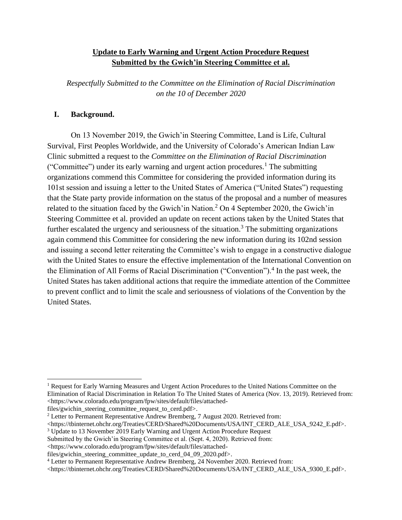## **Update to Early Warning and Urgent Action Procedure Request Submitted by the Gwich'in Steering Committee et al.**

*Respectfully Submitted to the Committee on the Elimination of Racial Discrimination on the 10 of December 2020*

## **I. Background.**

On 13 November 2019, the Gwich'in Steering Committee, Land is Life, Cultural Survival, First Peoples Worldwide, and the University of Colorado's American Indian Law Clinic submitted a request to the *Committee on the Elimination of Racial Discrimination* ("Committee") under its early warning and urgent action procedures.<sup>1</sup> The submitting organizations commend this Committee for considering the provided information during its 101st session and issuing a letter to the United States of America ("United States") requesting that the State party provide information on the status of the proposal and a number of measures related to the situation faced by the Gwich'in Nation.<sup>2</sup> On 4 September 2020, the Gwich'in Steering Committee et al. provided an update on recent actions taken by the United States that further escalated the urgency and seriousness of the situation.<sup>3</sup> The submitting organizations again commend this Committee for considering the new information during its 102nd session and issuing a second letter reiterating the Committee's wish to engage in a constructive dialogue with the United States to ensure the effective implementation of the International Convention on the Elimination of All Forms of Racial Discrimination ("Convention").<sup>4</sup> In the past week, the United States has taken additional actions that require the immediate attention of the Committee to prevent conflict and to limit the scale and seriousness of violations of the Convention by the United States.

files/gwichin\_steering\_committee\_request\_to\_cerd.pdf>.

<sup>3</sup> Update to 13 November 2019 Early Warning and Urgent Action Procedure Request

<sup>1</sup> Request for Early Warning Measures and Urgent Action Procedures to the United Nations Committee on the Elimination of Racial Discrimination in Relation To The United States of America (Nov. 13, 2019). Retrieved from: <https://www.colorado.edu/program/fpw/sites/default/files/attached-

<sup>&</sup>lt;sup>2</sup> Letter to Permanent Representative Andrew Bremberg, 7 August 2020. Retrieved from:

<sup>&</sup>lt;https://tbinternet.ohchr.org/Treaties/CERD/Shared%20Documents/USA/INT\_CERD\_ALE\_USA\_9242\_E.pdf>.

Submitted by the Gwich'in Steering Committee et al. (Sept. 4, 2020). Retrieved from:

<sup>&</sup>lt;https://www.colorado.edu/program/fpw/sites/default/files/attached-

files/gwichin\_steering\_committee\_update\_to\_cerd\_04\_09\_2020.pdf>.

<sup>4</sup> Letter to Permanent Representative Andrew Bremberg, 24 November 2020. Retrieved from:

<sup>&</sup>lt;https://tbinternet.ohchr.org/Treaties/CERD/Shared%20Documents/USA/INT\_CERD\_ALE\_USA\_9300\_E.pdf>.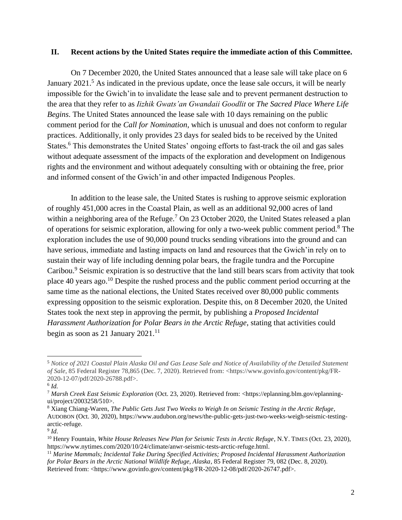## **II. Recent actions by the United States require the immediate action of this Committee.**

On 7 December 2020, the United States announced that a lease sale will take place on 6 January  $2021<sup>5</sup>$  As indicated in the previous update, once the lease sale occurs, it will be nearly impossible for the Gwich'in to invalidate the lease sale and to prevent permanent destruction to the area that they refer to as *Iizhik Gwats'an Gwandaii Goodlit* or *The Sacred Place Where Life Begins*. The United States announced the lease sale with 10 days remaining on the public comment period for the *Call for Nomination*, which is unusual and does not conform to regular practices. Additionally, it only provides 23 days for sealed bids to be received by the United States.<sup>6</sup> This demonstrates the United States' ongoing efforts to fast-track the oil and gas sales without adequate assessment of the impacts of the exploration and development on Indigenous rights and the environment and without adequately consulting with or obtaining the free, prior and informed consent of the Gwich'in and other impacted Indigenous Peoples.

In addition to the lease sale, the United States is rushing to approve seismic exploration of roughly 451,000 acres in the Coastal Plain, as well as an additional 92,000 acres of land within a neighboring area of the Refuge.<sup>7</sup> On 23 October 2020, the United States released a plan of operations for seismic exploration, allowing for only a two-week public comment period.<sup>8</sup> The exploration includes the use of 90,000 pound trucks sending vibrations into the ground and can have serious, immediate and lasting impacts on land and resources that the Gwich'in rely on to sustain their way of life including denning polar bears, the fragile tundra and the Porcupine Caribou.<sup>9</sup> Seismic expiration is so destructive that the land still bears scars from activity that took place 40 years ago.<sup>10</sup> Despite the rushed process and the public comment period occurring at the same time as the national elections, the United States received over 80,000 public comments expressing opposition to the seismic exploration. Despite this, on 8 December 2020, the United States took the next step in approving the permit, by publishing a *Proposed Incidental Harassment Authorization for Polar Bears in the Arctic Refuge*, stating that activities could begin as soon as 21 January  $2021$ .<sup>11</sup>

<sup>5</sup> *Notice of 2021 Coastal Plain Alaska Oil and Gas Lease Sale and Notice of Availability of the Detailed Statement of Sale*, 85 Federal Register 78,865 (Dec. 7, 2020). Retrieved from: <https://www.govinfo.gov/content/pkg/FR-2020-12-07/pdf/2020-26788.pdf>.

<sup>6</sup> *Id.*

<sup>7</sup> *Marsh Creek East Seismic Exploration* (Oct. 23, 2020). Retrieved from: <https://eplanning.blm.gov/eplanningui/project/2003258/510>.

<sup>8</sup> Xiang Chiang-Waren, *The Public Gets Just Two Weeks to Weigh In on Seismic Testing in the Arctic Refuge*, AUDOBON (Oct. 30, 2020), https://www.audubon.org/news/the-public-gets-just-two-weeks-weigh-seismic-testingarctic-refuge.

<sup>9</sup> *Id*.

<sup>&</sup>lt;sup>10</sup> Henry Fountain, *White House Releases New Plan for Seismic Tests in Arctic Refuge*, N.Y. TIMES (Oct. 23, 2020), https://www.nytimes.com/2020/10/24/climate/anwr-seismic-tests-arctic-refuge.html.

<sup>11</sup> *Marine Mammals; Incidental Take During Specified Activities; Proposed Incidental Harassment Authorization for Polar Bears in the Arctic National Wildlife Refuge, Alaska*, 85 Federal Register 79, 082 (Dec. 8, 2020). Retrieved from: <https://www.govinfo.gov/content/pkg/FR-2020-12-08/pdf/2020-26747.pdf>.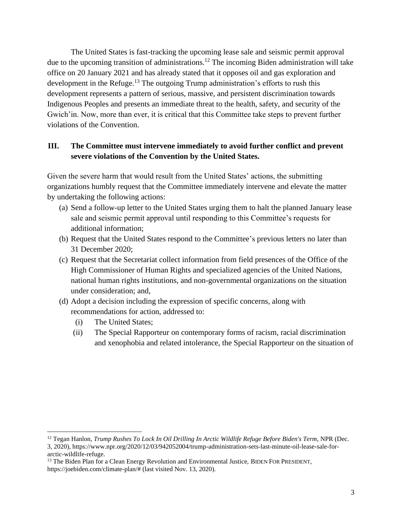The United States is fast-tracking the upcoming lease sale and seismic permit approval due to the upcoming transition of administrations.<sup>12</sup> The incoming Biden administration will take office on 20 January 2021 and has already stated that it opposes oil and gas exploration and development in the Refuge.<sup>13</sup> The outgoing Trump administration's efforts to rush this development represents a pattern of serious, massive, and persistent discrimination towards Indigenous Peoples and presents an immediate threat to the health, safety, and security of the Gwich'in. Now, more than ever, it is critical that this Committee take steps to prevent further violations of the Convention.

## **III. The Committee must intervene immediately to avoid further conflict and prevent severe violations of the Convention by the United States.**

Given the severe harm that would result from the United States' actions, the submitting organizations humbly request that the Committee immediately intervene and elevate the matter by undertaking the following actions:

- (a) Send a follow-up letter to the United States urging them to halt the planned January lease sale and seismic permit approval until responding to this Committee's requests for additional information;
- (b) Request that the United States respond to the Committee's previous letters no later than 31 December 2020;
- (c) Request that the Secretariat collect information from field presences of the Office of the High Commissioner of Human Rights and specialized agencies of the United Nations, national human rights institutions, and non-governmental organizations on the situation under consideration; and,
- (d) Adopt a decision including the expression of specific concerns, along with recommendations for action, addressed to:
	- (i) The United States;
	- (ii) The Special Rapporteur on contemporary forms of racism, racial discrimination and xenophobia and related intolerance, the Special Rapporteur on the situation of

<sup>&</sup>lt;sup>12</sup> Tegan Hanlon, *Trump Rushes To Lock In Oil Drilling In Arctic Wildlife Refuge Before Biden's Term*, NPR (Dec. 3, 2020), https://www.npr.org/2020/12/03/942052004/trump-administration-sets-last-minute-oil-lease-sale-forarctic-wildlife-refuge.

<sup>&</sup>lt;sup>13</sup> The Biden Plan for a Clean Energy Revolution and Environmental Justice, BIDEN FOR PRESIDENT, https://joebiden.com/climate-plan/# (last visited Nov. 13, 2020).